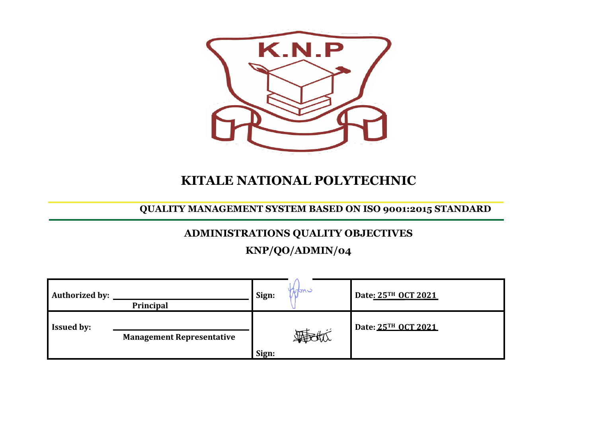

# **KITALE NATIONAL POLYTECHNIC**

## **QUALITY MANAGEMENT SYSTEM BASED ON ISO 9001:2015 STANDARD**

## **ADMINISTRATIONS QUALITY OBJECTIVES**

# **KNP/QO/ADMIN/04**

| <b>Authorized by:</b> | Principal                        | Sign: | Monv | Date: 25TH OCT 2021 |
|-----------------------|----------------------------------|-------|------|---------------------|
| <b>Issued by:</b>     | <b>Management Representative</b> | Sign: |      | Date: 25TH OCT 2021 |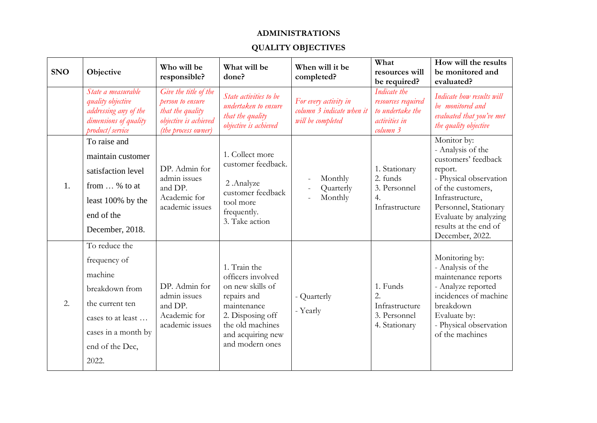### **ADMINISTRATIONS**

### **QUALITY OBJECTIVES**

| <b>SNO</b> | Objective                                                                                                                                             | Who will be<br>responsible?                                                                                   | What will be<br>done?                                                                                                                                               | When will it be<br>completed?                                           | What<br>resources will<br>be required?                                              | How will the results<br>be monitored and<br>evaluated?                                                                                                                                                                             |
|------------|-------------------------------------------------------------------------------------------------------------------------------------------------------|---------------------------------------------------------------------------------------------------------------|---------------------------------------------------------------------------------------------------------------------------------------------------------------------|-------------------------------------------------------------------------|-------------------------------------------------------------------------------------|------------------------------------------------------------------------------------------------------------------------------------------------------------------------------------------------------------------------------------|
|            | State a measurable<br>quality objective<br>addressing any of the<br>dimensions of quality<br>product / service                                        | Give the title of the<br>person to ensure<br>that the quality<br>objective is achieved<br>(the process owner) | State activities to be<br>undertaken to ensure<br>that the quality<br>objective is achieved                                                                         | For every activity in<br>column 3 indicate when it<br>will be completed | Indicate the<br>resources required<br>to undertake the<br>activities in<br>column 3 | Indicate how results will<br>be monitored and<br>evaluated that you've met<br>the quality objective                                                                                                                                |
| 1.         | To raise and<br>maintain customer<br>satisfaction level<br>from  % to at<br>least 100% by the<br>end of the<br>December, 2018.                        | DP. Admin for<br>admin issues<br>and DP.<br>Academic for<br>academic issues                                   | 1. Collect more<br>customer feedback.<br>2.Analyze<br>customer feedback<br>tool more<br>frequently.<br>3. Take action                                               | Monthly<br>Quarterly<br>Monthly                                         | 1. Stationary<br>2. funds<br>3. Personnel<br>$\overline{4}$ .<br>Infrastructure     | Monitor by:<br>- Analysis of the<br>customers' feedback<br>report.<br>- Physical observation<br>of the customers,<br>Infrastructure,<br>Personnel, Stationary<br>Evaluate by analyzing<br>results at the end of<br>December, 2022. |
| 2.         | To reduce the<br>frequency of<br>machine<br>breakdown from<br>the current ten<br>cases to at least<br>cases in a month by<br>end of the Dec,<br>2022. | DP. Admin for<br>admin issues<br>and DP.<br>Academic for<br>academic issues                                   | 1. Train the<br>officers involved<br>on new skills of<br>repairs and<br>maintenance<br>2. Disposing off<br>the old machines<br>and acquiring new<br>and modern ones | - Quarterly<br>- Yearly                                                 | 1. Funds<br>2.<br>Infrastructure<br>3. Personnel<br>4. Stationary                   | Monitoring by:<br>- Analysis of the<br>maintenance reports<br>- Analyze reported<br>incidences of machine<br>breakdown<br>Evaluate by:<br>- Physical observation<br>of the machines                                                |